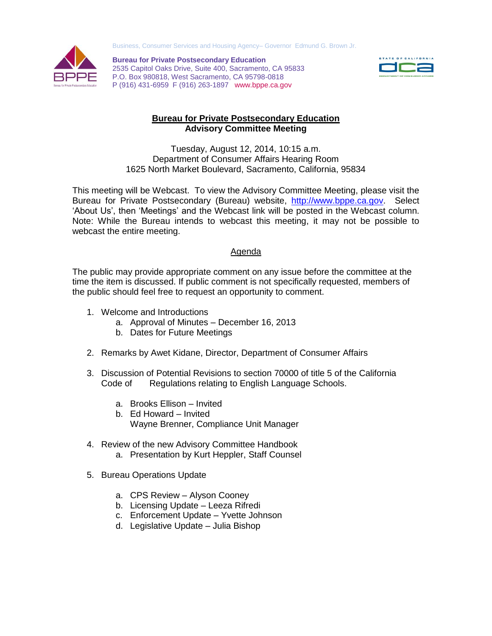



**Bureau for Private Postsecondary Education** 2535 Capitol Oaks Drive, Suite 400, Sacramento, CA 95833 P.O. Box 980818, West Sacramento, CA 95798-0818 P (916) 431-6959 F (916) 263-1897 www.bppe.ca.gov



## **Bureau for Private Postsecondary Education Advisory Committee Meeting**

Tuesday, August 12, 2014, 10:15 a.m. Department of Consumer Affairs Hearing Room 1625 North Market Boulevard, Sacramento, California, 95834

This meeting will be Webcast. To view the Advisory Committee Meeting, please visit the Bureau for Private Postsecondary (Bureau) website, [http://www.bppe.ca.gov.](http://www.bppe.ca.gov/) Select 'About Us', then 'Meetings' and the Webcast link will be posted in the Webcast column. Note: While the Bureau intends to webcast this meeting, it may not be possible to webcast the entire meeting.

## Agenda

The public may provide appropriate comment on any issue before the committee at the time the item is discussed. If public comment is not specifically requested, members of the public should feel free to request an opportunity to comment.

- 1. Welcome and Introductions
	- a. Approval of Minutes December 16, 2013
	- b. Dates for Future Meetings
- 2. Remarks by Awet Kidane, Director, Department of Consumer Affairs
- 3. Discussion of Potential Revisions to section 70000 of title 5 of the California Code of Regulations relating to English Language Schools.
	- a. Brooks Ellison Invited
	- b. Ed Howard Invited
		- Wayne Brenner, Compliance Unit Manager
- 4. Review of the new Advisory Committee Handbook
	- a. Presentation by Kurt Heppler, Staff Counsel
- 5. Bureau Operations Update
	- a. CPS Review Alyson Cooney
	- b. Licensing Update Leeza Rifredi
	- c. Enforcement Update Yvette Johnson
	- d. Legislative Update Julia Bishop